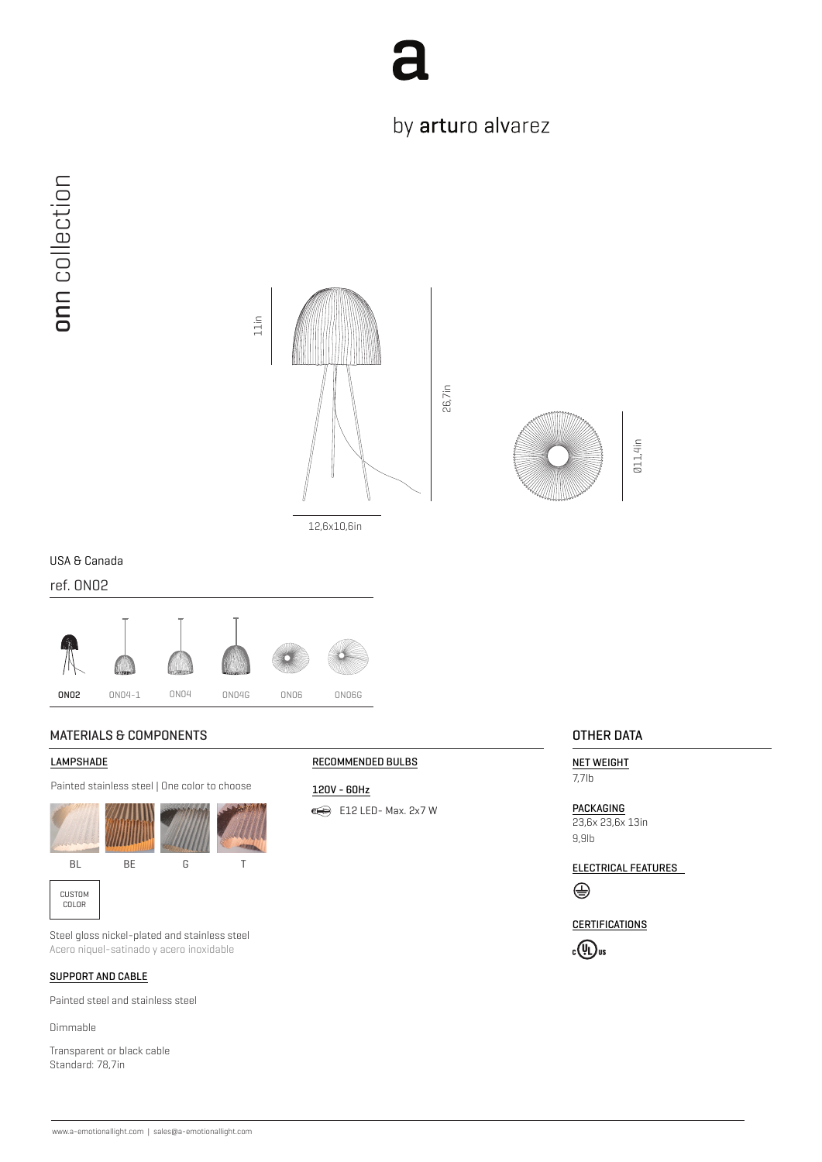

## by arturo alvarez



12,6x10,6in



Ø11,4in

### USA & Canada

ref. ON02



### MATERIALS & COMPONENTS **OTHER DATA**

#### **LAMPSHADE**

Painted stainless steel | One color to choose





Steel gloss nickel-plated and stainless steel Acero niquel-satinado y acero inoxidable

### SUPPORT AND CABLE

Painted steel and stainless steel

Dimmable

Transparent or black cable Standard: 78,7in

#### RECOMMENDED BULBS

120V - 60Hz E12 LED-Max. 2x7 W

NET WEIGHT 7,7lb

PACKAGING 23,6x 23,6x 13in 9,9lb

ELECTRICAL FEATURES ⊕

**CERTIFICATIONS**